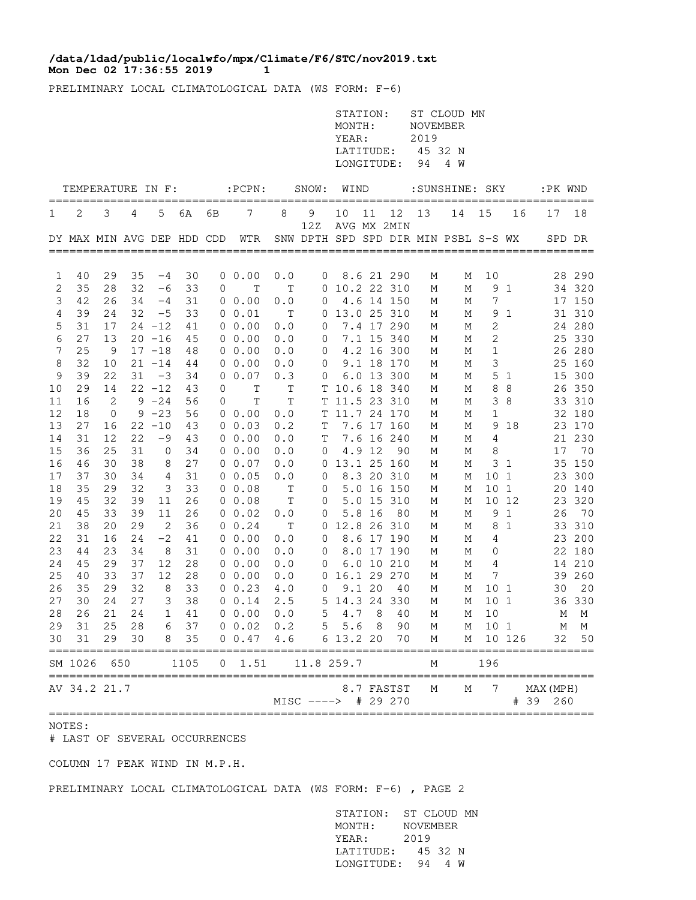## **Mon Dec 02 17:36:55 2019 1 /data/ldad/public/localwfo/mpx/Climate/F6/STC/nov2019.txt**

PRELIMINARY LOCAL CLIMATOLOGICAL DATA (WS FORM: F-6)

|          |                            |            |          |                        |          |    |                              |             |                     | STATION:<br>MONTH:<br>YEAR:<br>LATITUDE:<br>LONGITUDE: |        |                          | <b>NOVEMBER</b><br>2019<br>94 | ST CLOUD MN<br>45 32 N<br>4 W        |                       |              |                       |               |
|----------|----------------------------|------------|----------|------------------------|----------|----|------------------------------|-------------|---------------------|--------------------------------------------------------|--------|--------------------------|-------------------------------|--------------------------------------|-----------------------|--------------|-----------------------|---------------|
|          | TEMPERATURE IN F:          |            |          |                        |          |    | $:$ PCPN $:$                 |             | SNOW:               | WIND                                                   |        |                          |                               | :SUNSHINE: SKY                       |                       |              | :PK WND               |               |
| 1        | 2                          | 3          | 4        | 5                      | 6A       | 6В | 7                            | 8           | 9                   | 10                                                     | 11     | 12                       | 13                            | 14                                   | 15                    | 16           | 17                    | =====<br>18   |
|          | DY MAX MIN AVG DEP HDD CDD |            |          |                        |          |    | WTR                          |             | 12Z                 |                                                        |        | AVG MX 2MIN              |                               | SNW DPTH SPD SPD DIR MIN PSBL S-S WX |                       |              |                       | SPD DR        |
| 1        | 40                         | 29         | 35       | -4                     | 30       |    | 0 0.00                       | 0.0         | 0                   |                                                        |        | 8.6 21 290               | М                             | Μ                                    | 10                    |              |                       | 28 290        |
| 2        | 35                         | 28         | 32       | -6                     | 33       | 0  | $\mathbb T$                  | T           | 0                   | 10.2 22 310                                            |        |                          | М                             | М                                    | 9                     | 1            |                       | 34 320        |
| 3        | 42                         | 26         | 34       | $-4$                   | 31       |    | $0\;\;0.00$                  | 0.0         | 0                   |                                                        |        | 4.6 14 150               | М                             | М                                    | 7                     |              |                       | 17 150        |
| 4        | 39                         | 24         | 32       | $-5$                   | 33       |    | $0\;\;0.01$                  | Т           | 0                   | 13.0 25 310                                            |        |                          | М                             | М                                    | 9                     | 1            |                       | 31 310        |
| 5        | 31                         | 17         |          | $24 - 12$              | 41       |    | $0\;\;0.00$                  | 0.0         | 0                   |                                                        |        | 7.4 17 290               | М                             | М                                    | 2                     |              |                       | 24 280        |
| 6        | 27                         | 13         |          | $20 - 16$              | 45       |    | $0\;\;0.00$                  | 0.0         | 0                   |                                                        |        | 7.1 15 340               | М                             | М                                    | 2                     |              | 25                    | 330           |
| 7<br>8   | 25<br>32                   | 9<br>10    |          | $17 - 18$<br>$21 - 14$ | 48<br>44 |    | $0\;\;0.00$<br>$0\;\;0.00$   | 0.0<br>0.0  | 0<br>0              |                                                        |        | 4.2 16 300<br>9.1 18 170 | М<br>М                        | М<br>М                               | 1<br>3                |              | 25                    | 26 280<br>160 |
| 9        | 39                         | 22         | 31       | $-3$                   | 34       | 0  | 0.07                         | 0.3         | 0                   |                                                        |        | 6.0 13 300               | М                             | М                                    | 5                     | 1            | 15                    | 300           |
| 10       | 29                         | 14         |          | $22 - 12$              | 43       | 0  | $\mathbf T$                  | Τ           | T                   | 10.6 18 340                                            |        |                          | М                             | М                                    | 8                     | 8            |                       | 26 350        |
| 11       | 16                         | $\sqrt{2}$ | 9        | $-24$                  | 56       | 0  | $\mathbb T$                  | $\mathbb T$ | Т                   | 11.5 23 310                                            |        |                          | М                             | М                                    | 3                     | 8            |                       | 33 310        |
| 12       | 18                         | 0          |          | $9 - 23$               | 56       |    | $0\;\;0.00$                  | 0.0         | T                   | 11.7 24 170                                            |        |                          | М                             | М                                    | $\mathbf 1$           |              |                       | 32 180        |
| 13       | 27                         | 16         |          | $22 - 10$              | 43       |    | $0\;\;0.03$                  | 0.2         | Т                   |                                                        |        | 7.6 17 160               | М                             | М                                    | 9                     | 18           | 23                    | 170           |
| 14       | 31                         | 12         | 22       | -9                     | 43       |    | $0\;\;0.00$                  | 0.0         | Τ                   |                                                        |        | 7.6 16 240               | М                             | М                                    | 4                     |              |                       | 21 230        |
| 15       | 36                         | 25         | 31       | 0                      | 34       |    | $0\;\;0.00$                  | 0.0         | 0                   |                                                        | 4.9 12 | 90                       | М                             | М                                    | 8                     |              | 17                    | 70            |
| 16       | 46                         | 30         | 38       | 8                      | 27       |    | $0\;\;0.07$                  | 0.0         | 0                   |                                                        |        | 13.1 25 160              | М                             | М                                    | 3                     | -1           |                       | 35 150        |
| 17<br>18 | 37<br>35                   | 30<br>29   | 34<br>32 | 4<br>3                 | 31<br>33 |    | 0 0.05<br>00.08              | 0.0         | 0                   |                                                        |        | 8.3 20 310<br>5.0 16 150 | Μ                             | М                                    | 10<br>10 <sub>1</sub> | 1            | 23                    | 300           |
| 19       | 45                         | 32         | 39       | 11                     | 26       |    | $0\;\;0.08$                  | Т<br>Т      | 0<br>0              |                                                        |        | 5.0 15 310               | М<br>М                        | М<br>М                               |                       | 10 12        | 20<br>23              | 140<br>320    |
| 20       | 45                         | 33         | 39       | 11                     | 26       |    | $0\;\;0.02$                  | 0.0         | 0                   |                                                        | 5.8 16 | 80                       | М                             | М                                    | 9                     | 1            | 26                    | 70            |
| 21       | 38                         | 20         | 29       | 2                      | 36       |    | $0 \t 0.24$                  | Τ           | 0                   |                                                        |        | 12.8 26 310              | М                             | М                                    | 8                     | $\mathbf{1}$ |                       | 33 310        |
| 22       | 31                         | 16         | 24       | $-2$                   | 41       |    | 00.00                        | 0.0         | 0                   |                                                        |        | 8.6 17 190               | М                             | М                                    | 4                     |              |                       | 23 200        |
| 23       | 44                         | 23         | 34       | 8                      | 31       |    | 00.00                        | 0.0         | 0                   |                                                        |        | 8.0 17 190               | М                             | М                                    | 0                     |              |                       | 22 180        |
| 24       | 45                         | 29         | 37       | 12                     | 28       |    | $0\;\;0.00$                  | 0.0         | 0                   |                                                        |        | 6.0 10 210               | М                             | М                                    | 4                     |              |                       | 14 210        |
| 25       | 40                         | 33         | 37       | 12                     | 28       |    | 0 0.00                       | 0.0         | 0                   |                                                        |        | 16.1 29 270              | М                             | М                                    | 7                     |              | 39                    | 260           |
| 26       | 35                         | 29         | 32       | 8                      | 33       |    | $0 \t 0.23$                  | 4.0         | 0                   |                                                        | 9.1 20 | 40                       | М                             | М                                    | 10 1                  |              | 30                    | 20            |
| 27<br>28 | 30<br>26                   | 24<br>21   | 27<br>24 | 3<br>1                 | 38<br>41 |    | 0 0.14<br>00.00              | 2.5<br>0.0  | 5<br>5              | $4.7$                                                  | 8      | 14.3 24 330<br>40        | М<br>М                        | М<br>М                               | 10 <sub>1</sub><br>10 |              | 36                    | 330           |
|          | 29 31                      | 25         | 28       |                        | 6 37     |    | $0 \t0.02 \t0.2 \t5 5.6 \t8$ |             |                     |                                                        |        | 90                       | М                             |                                      | M 10 1                |              | М                     | М<br>$M$ M    |
| 30       | 31                         | 29         | 30       |                        | 8 35     |    | $0 \t0.47$                   |             | 4.6 6 13.2 20       |                                                        |        | 70                       | М                             |                                      | M 10 126              |              |                       | 32 50         |
|          | SM 1026 650                |            |          |                        | 1105     | 0  | 1.51                         |             | 11.8 259.7          |                                                        |        |                          | М                             |                                      | 196                   |              |                       |               |
|          | AV 34.2 21.7               | ========   |          |                        |          |    |                              |             | MISC ----> # 29 270 |                                                        |        | 8.7 FASTST               | М                             | М                                    | 7                     |              | MAX (MPH)<br># 39 260 |               |

## NOTES:

# LAST OF SEVERAL OCCURRENCES

COLUMN 17 PEAK WIND IN M.P.H.

PRELIMINARY LOCAL CLIMATOLOGICAL DATA (WS FORM: F-6) , PAGE 2

 STATION: ST CLOUD MN MONTH: NOVEMBER YEAR: 2019 LATITUDE: 45 32 N LONGITUDE: 94 4 W